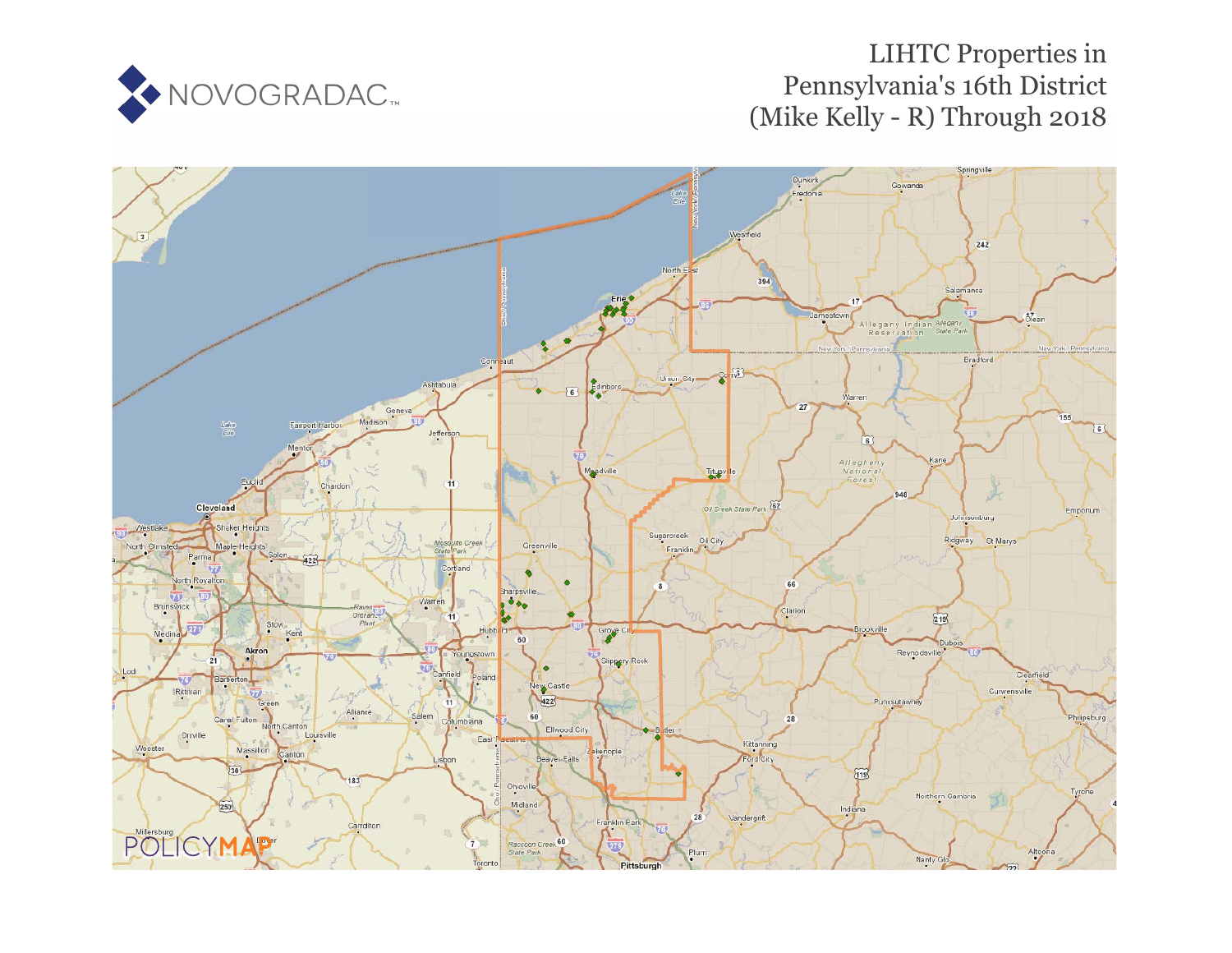

# LIHTC Properties in Pennsylvania's 16th District (Mike Kelly - R) Through 2018

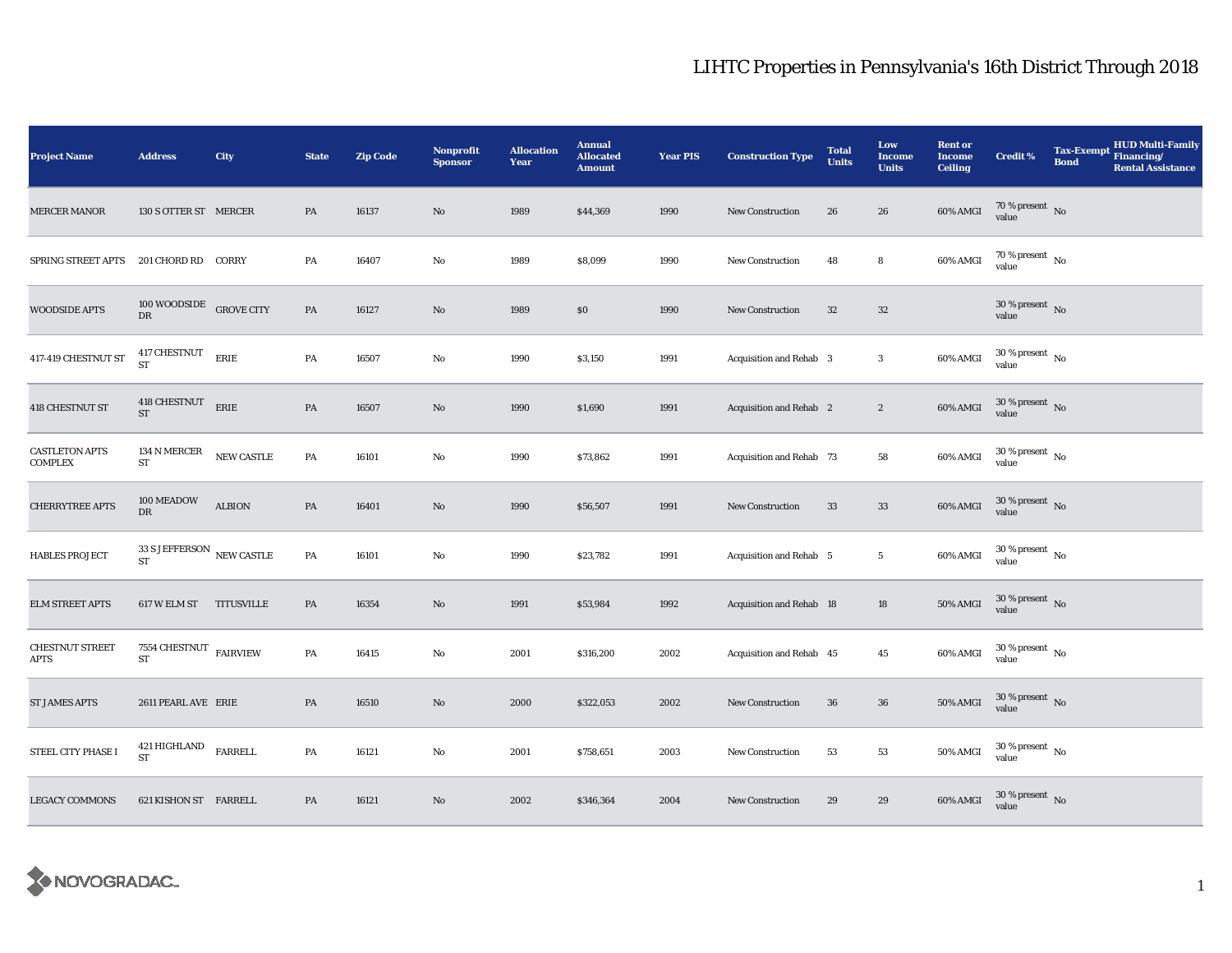| <b>Project Name</b>                     | <b>Address</b>                               | City           | <b>State</b>  | <b>Zip Code</b> | <b>Nonprofit</b><br><b>Sponsor</b> | <b>Allocation</b><br>Year | <b>Annual</b><br><b>Allocated</b><br><b>Amount</b> | <b>Year PIS</b> | <b>Construction Type</b>       | <b>Total</b><br><b>Units</b> | Low<br><b>Income</b><br><b>Units</b> | <b>Rent or</b><br><b>Income</b><br><b>Ceiling</b> | <b>Credit %</b>                        | <b>Tax-Exempt</b><br><b>Bond</b> | <b>HUD Multi-Family</b><br>Financing/<br><b>Rental Assistance</b> |
|-----------------------------------------|----------------------------------------------|----------------|---------------|-----------------|------------------------------------|---------------------------|----------------------------------------------------|-----------------|--------------------------------|------------------------------|--------------------------------------|---------------------------------------------------|----------------------------------------|----------------------------------|-------------------------------------------------------------------|
| <b>MERCER MANOR</b>                     | 130 S OTTER ST MERCER                        |                | ${\bf PA}$    | 16137           | $\rm No$                           | 1989                      | \$44,369                                           | 1990            | <b>New Construction</b>        | 26                           | 26                                   | 60% AMGI                                          | $70\,\%$ present $\,$ No value         |                                  |                                                                   |
| SPRING STREET APTS                      | 201 CHORD RD CORRY                           |                | PA            | 16407           | $\rm No$                           | 1989                      | \$8,099                                            | 1990            | New Construction               | 48                           | 8                                    | 60% AMGI                                          | $70\,\%$ present $\,$ No $\,$<br>value |                                  |                                                                   |
| <b>WOODSIDE APTS</b>                    | 100 WOODSIDE GROVE CITY<br>${\rm DR}$        |                | PA            | 16127           | $\rm No$                           | 1989                      | \$0                                                | 1990            | <b>New Construction</b>        | $32\,$                       | $32\,$                               |                                                   | $30$ % present $\,$ No value           |                                  |                                                                   |
| 417-419 CHESTNUT ST                     | 417 CHESTNUT<br><b>ST</b>                    | ERIE           | PA            | 16507           | No                                 | 1990                      | \$3,150                                            | 1991            | Acquisition and Rehab 3        |                              | $\mathbf{3}$                         | 60% AMGI                                          | $30$ % present $\,$ No value           |                                  |                                                                   |
| <b>418 CHESTNUT ST</b>                  | 418 CHESTNUT<br><b>ST</b>                    | ERIE           | $\mathbf{PA}$ | 16507           | $\mathbf{N}\mathbf{o}$             | 1990                      | \$1,690                                            | 1991            | Acquisition and Rehab 2        |                              | $\boldsymbol{2}$                     | 60% AMGI                                          | $30$ % present $\,$ No value           |                                  |                                                                   |
| <b>CASTLETON APTS</b><br><b>COMPLEX</b> | 134 N MERCER<br>${\rm ST}$                   | NEW CASTLE     | PA            | 16101           | $\rm No$                           | 1990                      | \$73,862                                           | 1991            | Acquisition and Rehab 73       |                              | 58                                   | 60% AMGI                                          | $30$ % present $\,$ No value           |                                  |                                                                   |
| <b>CHERRYTREE APTS</b>                  | 100 MEADOW<br>DR                             | <b>ALBION</b>  | $\mathbf{PA}$ | 16401           | $\mathbf{No}$                      | 1990                      | \$56,507                                           | 1991            | <b>New Construction</b>        | 33                           | $33\,$                               | 60% AMGI                                          | $30$ % present $\,$ No value           |                                  |                                                                   |
| <b>HABLES PROJECT</b>                   | 33 S JEFFERSON $\,$ NEW CASTLE<br>${\rm ST}$ |                | PA            | 16101           | $\mathbf{No}$                      | 1990                      | \$23,782                                           | 1991            | <b>Acquisition and Rehab 5</b> |                              | $\overline{5}$                       | 60% AMGI                                          | $30$ % present $\,$ No value           |                                  |                                                                   |
| <b>ELM STREET APTS</b>                  | 617 W ELM ST TITUSVILLE                      |                | PA            | 16354           | $\mathbf{No}$                      | 1991                      | \$53,984                                           | 1992            | Acquisition and Rehab 18       |                              | $18\,$                               | 50% AMGI                                          | $30$ % present $\,$ No value           |                                  |                                                                   |
| <b>CHESTNUT STREET</b><br><b>APTS</b>   | 7554 CHESTNUT $$\rm FAIRVIEW$$<br>${\rm ST}$ |                | PA            | 16415           | No                                 | 2001                      | \$316,200                                          | 2002            | Acquisition and Rehab 45       |                              | $45\,$                               | 60% AMGI                                          | $30$ % present $\,$ No value           |                                  |                                                                   |
| <b>ST JAMES APTS</b>                    | 2611 PEARL AVE ERIE                          |                | PA            | 16510           | No                                 | 2000                      | \$322,053                                          | 2002            | <b>New Construction</b>        | 36                           | ${\bf 36}$                           | <b>50% AMGI</b>                                   | $30$ % present $\,$ No value           |                                  |                                                                   |
| STEEL CITY PHASE I                      | 421 HIGHLAND<br><b>ST</b>                    | <b>FARRELL</b> | PA            | 16121           | No                                 | 2001                      | \$758,651                                          | 2003            | <b>New Construction</b>        | 53                           | ${\bf 53}$                           | 50% AMGI                                          | $30$ % present $\,$ No value           |                                  |                                                                   |
| <b>LEGACY COMMONS</b>                   | 621 KISHON ST FARRELL                        |                | PA            | 16121           | $\mathbf{No}$                      | 2002                      | \$346,364                                          | 2004            | New Construction               | 29                           | 29                                   | 60% AMGI                                          | $30$ % present $\,$ No value           |                                  |                                                                   |

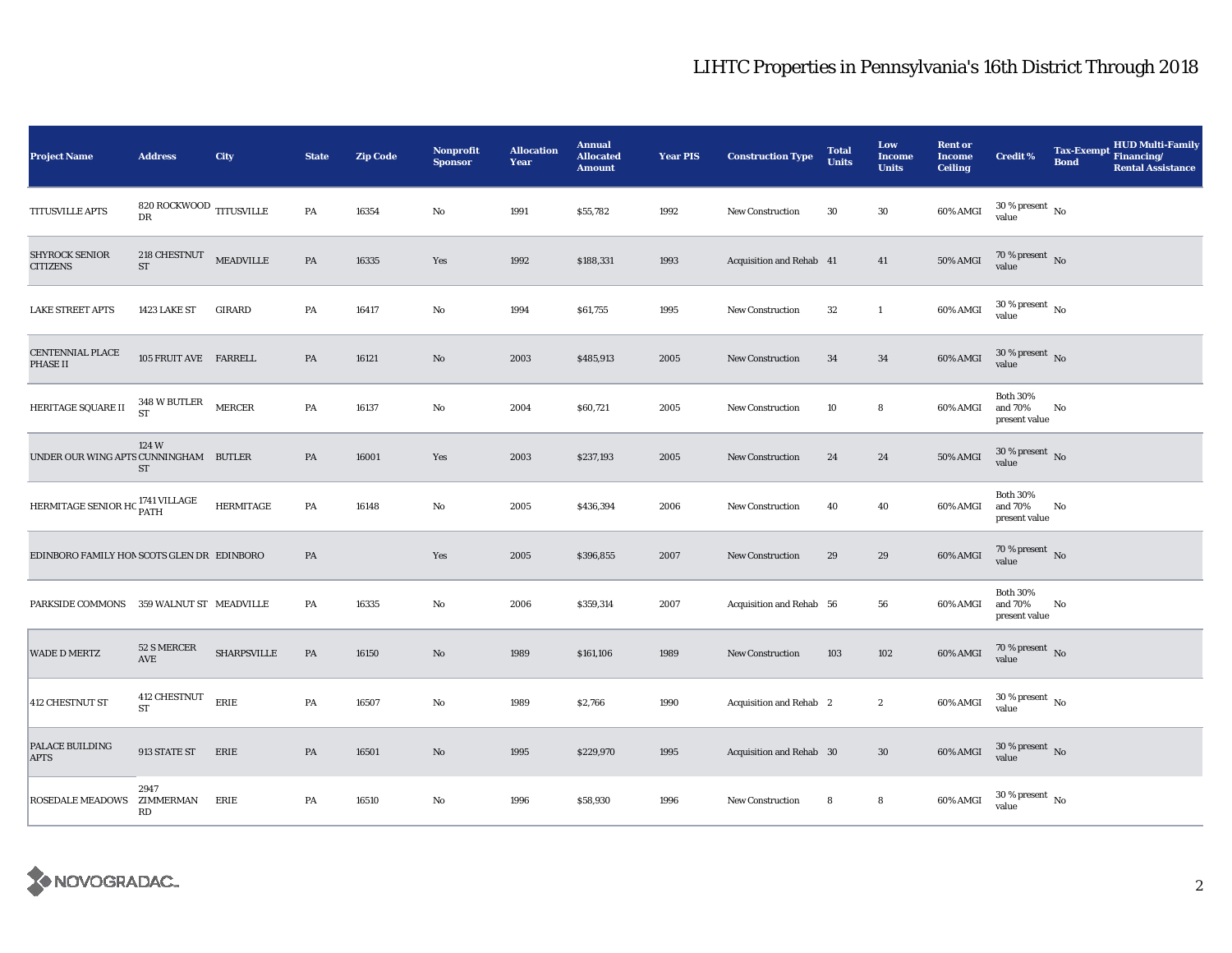| <b>Project Name</b>                         | <b>Address</b>                                   | City               | <b>State</b> | <b>Zip Code</b> | <b>Nonprofit</b><br><b>Sponsor</b> | <b>Allocation</b><br>Year | <b>Annual</b><br><b>Allocated</b><br><b>Amount</b> | <b>Year PIS</b> | <b>Construction Type</b> | <b>Total</b><br><b>Units</b> | Low<br><b>Income</b><br><b>Units</b> | <b>Rent or</b><br><b>Income</b><br><b>Ceiling</b> | <b>Credit %</b>                             | <b>HUD Multi-Family</b><br>Tax-Exempt Financing/<br><b>Bond</b><br><b>Rental Assistance</b> |
|---------------------------------------------|--------------------------------------------------|--------------------|--------------|-----------------|------------------------------------|---------------------------|----------------------------------------------------|-----------------|--------------------------|------------------------------|--------------------------------------|---------------------------------------------------|---------------------------------------------|---------------------------------------------------------------------------------------------|
| TITUSVILLE APTS                             | $820\, \mbox{ROCKWOOD}$ TITUSVILLE<br>${\rm DR}$ |                    | ${\bf PA}$   | 16354           | No                                 | 1991                      | \$55,782                                           | 1992            | <b>New Construction</b>  | 30                           | $30\,$                               | 60% AMGI                                          | $30\,\%$ present $\,$ No value              |                                                                                             |
| <b>SHYROCK SENIOR</b><br>CITIZENS           | 218 CHESTNUT MEADVILLE<br><b>ST</b>              |                    | PA           | 16335           | Yes                                | 1992                      | \$188,331                                          | 1993            | Acquisition and Rehab 41 |                              | 41                                   | <b>50% AMGI</b>                                   | $70\%$ present No<br>value                  |                                                                                             |
| <b>LAKE STREET APTS</b>                     | 1423 LAKE ST                                     | <b>GIRARD</b>      | PA           | 16417           | No                                 | 1994                      | \$61,755                                           | 1995            | New Construction         | $32\,$                       | $\mathbf{1}$                         | 60% AMGI                                          | $30\,\%$ present $\,$ No value              |                                                                                             |
| <b>CENTENNIAL PLACE</b><br>PHASE II         | 105 FRUIT AVE FARRELL                            |                    | PA           | 16121           | $\mathbf{N}\mathbf{o}$             | 2003                      | \$485,913                                          | 2005            | New Construction         | 34                           | 34                                   | 60% AMGI                                          | $30\,\%$ present $\,$ No value              |                                                                                             |
| HERITAGE SQUARE II                          | 348 W BUTLER<br>ST                               | ${\tt MERCER}$     | PA           | 16137           | No                                 | 2004                      | \$60,721                                           | 2005            | <b>New Construction</b>  | 10                           | 8                                    | 60% AMGI                                          | <b>Both 30%</b><br>and 70%<br>present value | No                                                                                          |
| UNDER OUR WING APTS CUNNINGHAM BUTLER       | 124 W<br>ST                                      |                    | PA           | 16001           | Yes                                | 2003                      | \$237,193                                          | 2005            | New Construction         | 24                           | 24                                   | $50\%$ AMGI                                       | $30\,\%$ present $\,$ No value              |                                                                                             |
| HERMITAGE SENIOR HC <sup>1741</sup> VILLAGE |                                                  | <b>HERMITAGE</b>   | PA           | 16148           | No                                 | 2005                      | \$436,394                                          | 2006            | New Construction         | 40                           | 40                                   | 60% AMGI                                          | <b>Both 30%</b><br>and 70%<br>present value | No                                                                                          |
| EDINBORO FAMILY HON SCOTS GLEN DR EDINBORO  |                                                  |                    | PA           |                 | Yes                                | 2005                      | \$396,855                                          | 2007            | New Construction         | 29                           | 29                                   | 60% AMGI                                          | 70 % present $\,$ No $\,$<br>value          |                                                                                             |
| PARKSIDE COMMONS 359 WALNUT ST MEADVILLE    |                                                  |                    | PA           | 16335           | No                                 | 2006                      | \$359,314                                          | 2007            | Acquisition and Rehab 56 |                              | 56                                   | 60% AMGI                                          | <b>Both 30%</b><br>and 70%<br>present value | No                                                                                          |
| <b>WADE D MERTZ</b>                         | 52 S MERCER<br>AVE                               | <b>SHARPSVILLE</b> | PA           | 16150           | No                                 | 1989                      | \$161,106                                          | 1989            | <b>New Construction</b>  | 103                          | 102                                  | 60% AMGI                                          | $70\,\%$ present $\,$ No value              |                                                                                             |
| <b>412 CHESTNUT ST</b>                      | 412 CHESTNUT<br><b>ST</b>                        | ERIE               | PA           | 16507           | No                                 | 1989                      | \$2,766                                            | 1990            | Acquisition and Rehab 2  |                              | $\boldsymbol{2}$                     | 60% AMGI                                          | $30\,\%$ present $\,$ No value              |                                                                                             |
| PALACE BUILDING<br><b>APTS</b>              | 913 STATE ST                                     | ERIE               | PA           | 16501           | $\mathbf{N}\mathbf{o}$             | 1995                      | \$229,970                                          | 1995            | Acquisition and Rehab 30 |                              | $30\,$                               | 60% AMGI                                          | $30\,\%$ present $\,$ No value              |                                                                                             |
| ROSEDALE MEADOWS                            | 2947<br>ZIMMERMAN<br>RD                          | ERIE               | PA           | 16510           | No                                 | 1996                      | \$58,930                                           | 1996            | New Construction         | 8                            | 8                                    | 60% AMGI                                          | $30\,\%$ present $_{\, \rm No}$<br>value    |                                                                                             |

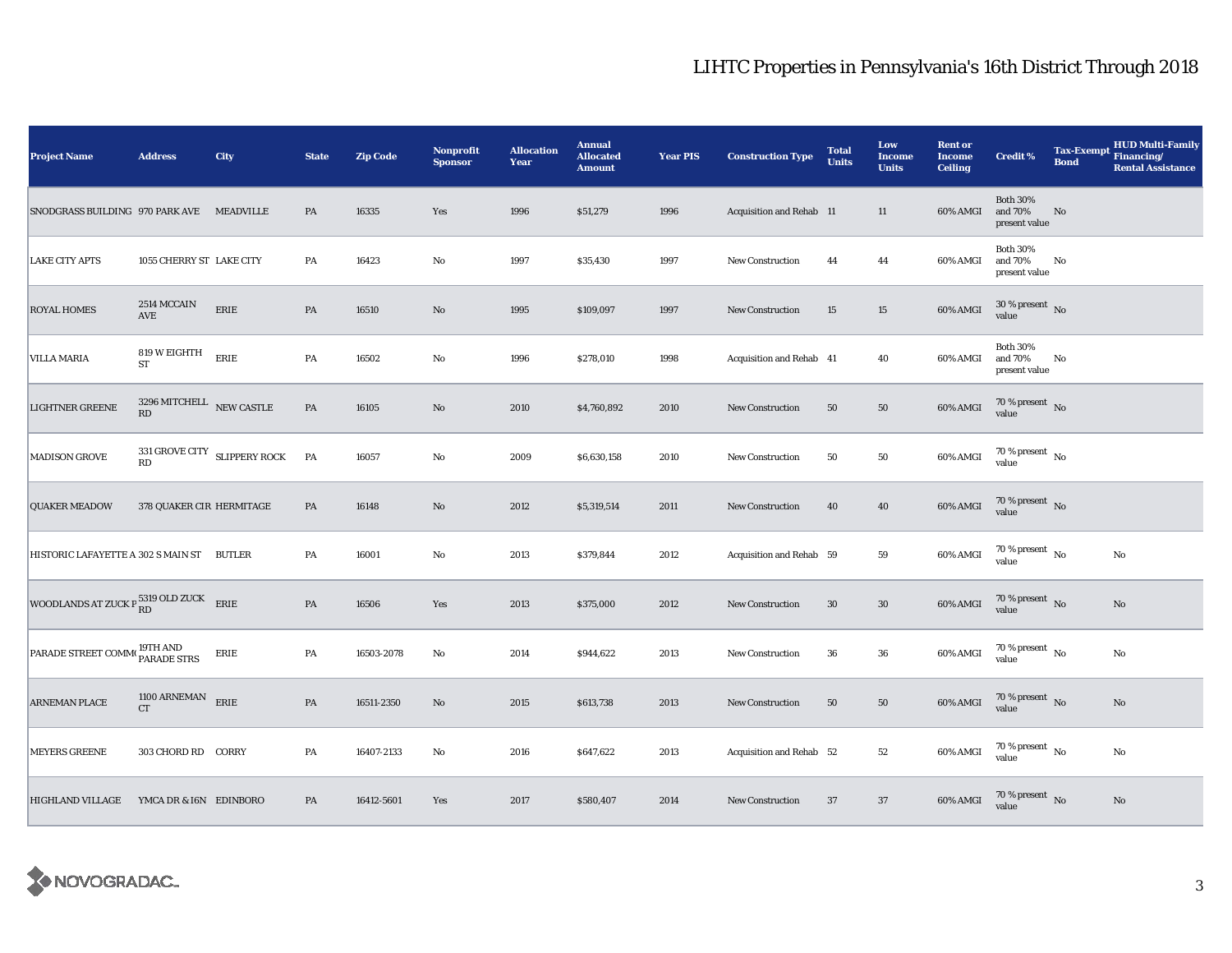| <b>Project Name</b>                                    | <b>Address</b>                             | City                         | <b>State</b>  | <b>Zip Code</b> | Nonprofit<br><b>Sponsor</b> | <b>Allocation</b><br>Year | <b>Annual</b><br><b>Allocated</b><br><b>Amount</b> | <b>Year PIS</b> | <b>Construction Type</b> | <b>Total</b><br><b>Units</b> | Low<br><b>Income</b><br><b>Units</b> | <b>Rent or</b><br><b>Income</b><br><b>Ceiling</b> | <b>Credit %</b>                             | <b>Tax-Exempt</b><br><b>Bond</b> | <b>HUD Multi-Family</b><br>Financing/<br><b>Rental Assistance</b> |
|--------------------------------------------------------|--------------------------------------------|------------------------------|---------------|-----------------|-----------------------------|---------------------------|----------------------------------------------------|-----------------|--------------------------|------------------------------|--------------------------------------|---------------------------------------------------|---------------------------------------------|----------------------------------|-------------------------------------------------------------------|
| SNODGRASS BUILDING 970 PARK AVE MEADVILLE              |                                            |                              | PA            | 16335           | Yes                         | 1996                      | \$51,279                                           | 1996            | Acquisition and Rehab 11 |                              | 11                                   | 60% AMGI                                          | <b>Both 30%</b><br>and 70%<br>present value | No                               |                                                                   |
| <b>LAKE CITY APTS</b>                                  | 1055 CHERRY ST LAKE CITY                   |                              | PA            | 16423           | No                          | 1997                      | \$35,430                                           | 1997            | New Construction         | 44                           | 44                                   | 60% AMGI                                          | <b>Both 30%</b><br>and 70%<br>present value | No                               |                                                                   |
| <b>ROYAL HOMES</b>                                     | 2514 MCCAIN<br>AVE                         | ERIE                         | $\mathbf{PA}$ | 16510           | No                          | 1995                      | \$109,097                                          | 1997            | <b>New Construction</b>  | 15                           | $15\,$                               | 60% AMGI                                          | $30\,\%$ present $\,$ No value              |                                  |                                                                   |
| <b>VILLA MARIA</b>                                     | 819 W EIGHTH<br>${\rm ST}$                 | ERIE                         | PA            | 16502           | $\mathbf {No}$              | 1996                      | \$278,010                                          | 1998            | Acquisition and Rehab 41 |                              | 40                                   | 60% AMGI                                          | <b>Both 30%</b><br>and 70%<br>present value | No                               |                                                                   |
| <b>LIGHTNER GREENE</b>                                 | $3296\,{\rm MITCHELL} \quad$ NEW CASTLE RD |                              | $\mathbf{PA}$ | 16105           | $\rm No$                    | 2010                      | \$4,760,892                                        | 2010            | New Construction         | 50                           | 50                                   | 60% AMGI                                          | $70\,\%$ present $\,$ No value              |                                  |                                                                   |
| MADISON GROVE                                          | $\mathbf{R}\mathbf{D}$                     | 331 GROVE CITY SLIPPERY ROCK | PA            | 16057           | $\rm No$                    | 2009                      | \$6,630,158                                        | 2010            | New Construction         | 50                           | 50                                   | 60% AMGI                                          | $70\,\%$ present $\,$ No value              |                                  |                                                                   |
| <b>QUAKER MEADOW</b>                                   | 378 QUAKER CIR HERMITAGE                   |                              | PA            | 16148           | $\rm No$                    | 2012                      | \$5,319,514                                        | 2011            | New Construction         | 40                           | ${\bf 40}$                           | 60% AMGI                                          | $70\,\%$ present $\;$ No value              |                                  |                                                                   |
| HISTORIC LAFAYETTE A 302 S MAIN ST                     |                                            | <b>BUTLER</b>                | PA            | 16001           | No                          | 2013                      | \$379,844                                          | 2012            | Acquisition and Rehab 59 |                              | 59                                   | 60% AMGI                                          | $70\,\%$ present $\,$ No value              |                                  | $\mathbf{No}$                                                     |
| WOODLANDS AT ZUCK P $_{\rm RD}^{5319}$ OLD ZUCK ERIE   |                                            |                              | $\mathbf{PA}$ | 16506           | Yes                         | 2013                      | \$375,000                                          | 2012            | New Construction         | $30\,$                       | $30\,$                               | 60% AMGI                                          | 70 % present $\,$ No $\,$<br>value          |                                  | $\mathbf{No}$                                                     |
| PARADE STREET COMM <sup>(19TH</sup> AND<br>PARADE STRS |                                            | ERIE                         | PA            | 16503-2078      | No                          | 2014                      | \$944,622                                          | 2013            | New Construction         | 36                           | ${\bf 36}$                           | 60% AMGI                                          | $70\,\%$ present $\,$ No value              |                                  | $\rm No$                                                          |
| <b>ARNEMAN PLACE</b>                                   | 1100 ARNEMAN ERIE<br><b>CT</b>             |                              | PA            | 16511-2350      | $\rm No$                    | 2015                      | \$613,738                                          | 2013            | New Construction         | 50                           | $50\,$                               | 60% AMGI                                          | $70\,\%$ present $\,$ No value              |                                  | $\rm No$                                                          |
| <b>MEYERS GREENE</b>                                   | 303 CHORD RD CORRY                         |                              | PA            | 16407-2133      | $\rm No$                    | 2016                      | \$647,622                                          | 2013            | Acquisition and Rehab 52 |                              | 52                                   | 60% AMGI                                          | $70\,\%$ present $\,$ No value              |                                  | No                                                                |
| <b>HIGHLAND VILLAGE</b>                                | YMCA DR & I6N EDINBORO                     |                              | PA            | 16412-5601      | Yes                         | 2017                      | \$580,407                                          | 2014            | <b>New Construction</b>  | 37                           | $37\,$                               | 60% AMGI                                          | $70\,\%$ present $\,$ No value              |                                  | $\mathbf{No}$                                                     |

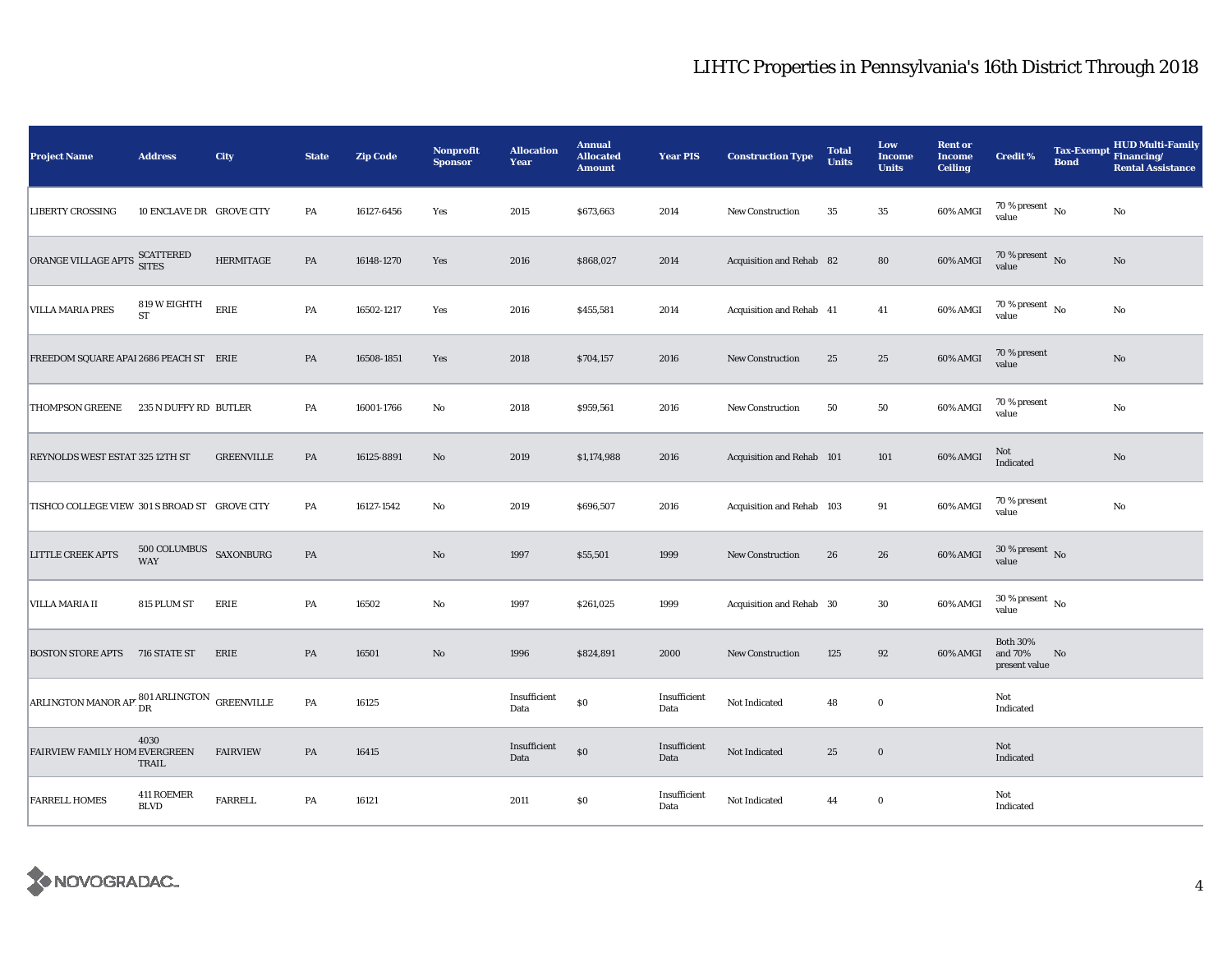| <b>Project Name</b>                                             | <b>Address</b>                       | City              | <b>State</b> | <b>Zip Code</b> | <b>Nonprofit</b><br><b>Sponsor</b> | <b>Allocation</b><br>Year | <b>Annual</b><br><b>Allocated</b><br><b>Amount</b> | <b>Year PIS</b>      | <b>Construction Type</b>  | <b>Total</b><br><b>Units</b> | Low<br><b>Income</b><br><b>Units</b> | <b>Rent or</b><br><b>Income</b><br><b>Ceiling</b> | <b>Credit %</b>                             | <b>Tax-Exempt</b><br><b>Bond</b> | <b>HUD Multi-Family</b><br>Financing/<br><b>Rental Assistance</b> |
|-----------------------------------------------------------------|--------------------------------------|-------------------|--------------|-----------------|------------------------------------|---------------------------|----------------------------------------------------|----------------------|---------------------------|------------------------------|--------------------------------------|---------------------------------------------------|---------------------------------------------|----------------------------------|-------------------------------------------------------------------|
| <b>LIBERTY CROSSING</b>                                         | 10 ENCLAVE DR GROVE CITY             |                   | PA           | 16127-6456      | Yes                                | 2015                      | \$673,663                                          | 2014                 | <b>New Construction</b>   | 35                           | $\bf 35$                             | 60% AMGI                                          | $70\,\%$ present $\,$ No value              |                                  | $\rm No$                                                          |
| ORANGE VILLAGE APTS SCATTERED                                   |                                      | <b>HERMITAGE</b>  | PA           | 16148-1270      | Yes                                | 2016                      | \$868,027                                          | 2014                 | Acquisition and Rehab 82  |                              | 80                                   | 60% AMGI                                          | $70\,\%$ present $\,$ No value              |                                  | $\mathbf{N}\mathbf{o}$                                            |
| <b>VILLA MARIA PRES</b>                                         | 819 W EIGHTH<br><b>ST</b>            | ERIE              | PA           | 16502-1217      | Yes                                | 2016                      | \$455,581                                          | 2014                 | Acquisition and Rehab 41  |                              | 41                                   | 60% AMGI                                          | $70$ % present $\,$ No $\,$<br>value        |                                  | No                                                                |
| FREEDOM SQUARE APAI 2686 PEACH ST ERIE                          |                                      |                   | PA           | 16508-1851      | Yes                                | 2018                      | \$704,157                                          | 2016                 | <b>New Construction</b>   | 25                           | 25                                   | 60% AMGI                                          | 70 % present<br>value                       |                                  | $\mathbf{N}\mathbf{o}$                                            |
| THOMPSON GREENE                                                 | 235 N DUFFY RD BUTLER                |                   | PA           | 16001-1766      | $\mathbf{No}$                      | 2018                      | \$959,561                                          | 2016                 | <b>New Construction</b>   | 50                           | 50                                   | 60% AMGI                                          | 70 % present<br>value                       |                                  | $\rm No$                                                          |
| REYNOLDS WEST ESTAT 325 12TH ST                                 |                                      | <b>GREENVILLE</b> | PA           | 16125-8891      | $\mathbf{N}\mathbf{o}$             | 2019                      | \$1,174,988                                        | 2016                 | Acquisition and Rehab 101 |                              | 101                                  | 60% AMGI                                          | Not<br>Indicated                            |                                  | $\rm No$                                                          |
| TISHCO COLLEGE VIEW 301 S BROAD ST GROVE CITY                   |                                      |                   | PA           | 16127-1542      | No                                 | 2019                      | \$696,507                                          | 2016                 | Acquisition and Rehab 103 |                              | 91                                   | 60% AMGI                                          | 70 % present<br>value                       |                                  | $\rm No$                                                          |
| <b>LITTLE CREEK APTS</b>                                        | 500 COLUMBUS SAXONBURG<br><b>WAY</b> |                   | PA           |                 | No                                 | 1997                      | \$55,501                                           | 1999                 | <b>New Construction</b>   | 26                           | 26                                   | 60% AMGI                                          | $30\,\%$ present $\,$ No $\,$<br>value      |                                  |                                                                   |
| <b>VILLA MARIA II</b>                                           | 815 PLUM ST                          | ERIE              | PA           | 16502           | No                                 | 1997                      | \$261,025                                          | 1999                 | Acquisition and Rehab 30  |                              | 30                                   | 60% AMGI                                          | $30\,\%$ present $\,$ No $\,$<br>value      |                                  |                                                                   |
| <b>BOSTON STORE APTS 716 STATE ST</b>                           |                                      | ERIE              | PA           | 16501           | $\mathbf{No}$                      | 1996                      | \$824,891                                          | 2000                 | <b>New Construction</b>   | 125                          | 92                                   | 60% AMGI                                          | <b>Both 30%</b><br>and 70%<br>present value | No                               |                                                                   |
| ARLINGTON MANOR AP' $_{\rm DR}^{801}$ ARLINGTON $\,$ GREENVILLE |                                      |                   | PA           | 16125           |                                    | Insufficient<br>Data      | \$0                                                | Insufficient<br>Data | Not Indicated             | 48                           | $\bf{0}$                             |                                                   | Not<br>Indicated                            |                                  |                                                                   |
| FAIRVIEW FAMILY HOM EVERGREEN                                   | 4030<br>TRAIL                        | <b>FAIRVIEW</b>   | PA           | 16415           |                                    | Insufficient<br>Data      | \$0                                                | Insufficient<br>Data | Not Indicated             | 25                           | $\boldsymbol{0}$                     |                                                   | Not<br>Indicated                            |                                  |                                                                   |
| <b>FARRELL HOMES</b>                                            | 411 ROEMER<br><b>BLVD</b>            | <b>FARRELL</b>    | PA           | 16121           |                                    | 2011                      | \$0                                                | Insufficient<br>Data | Not Indicated             | 44                           | $\bf{0}$                             |                                                   | Not<br>Indicated                            |                                  |                                                                   |

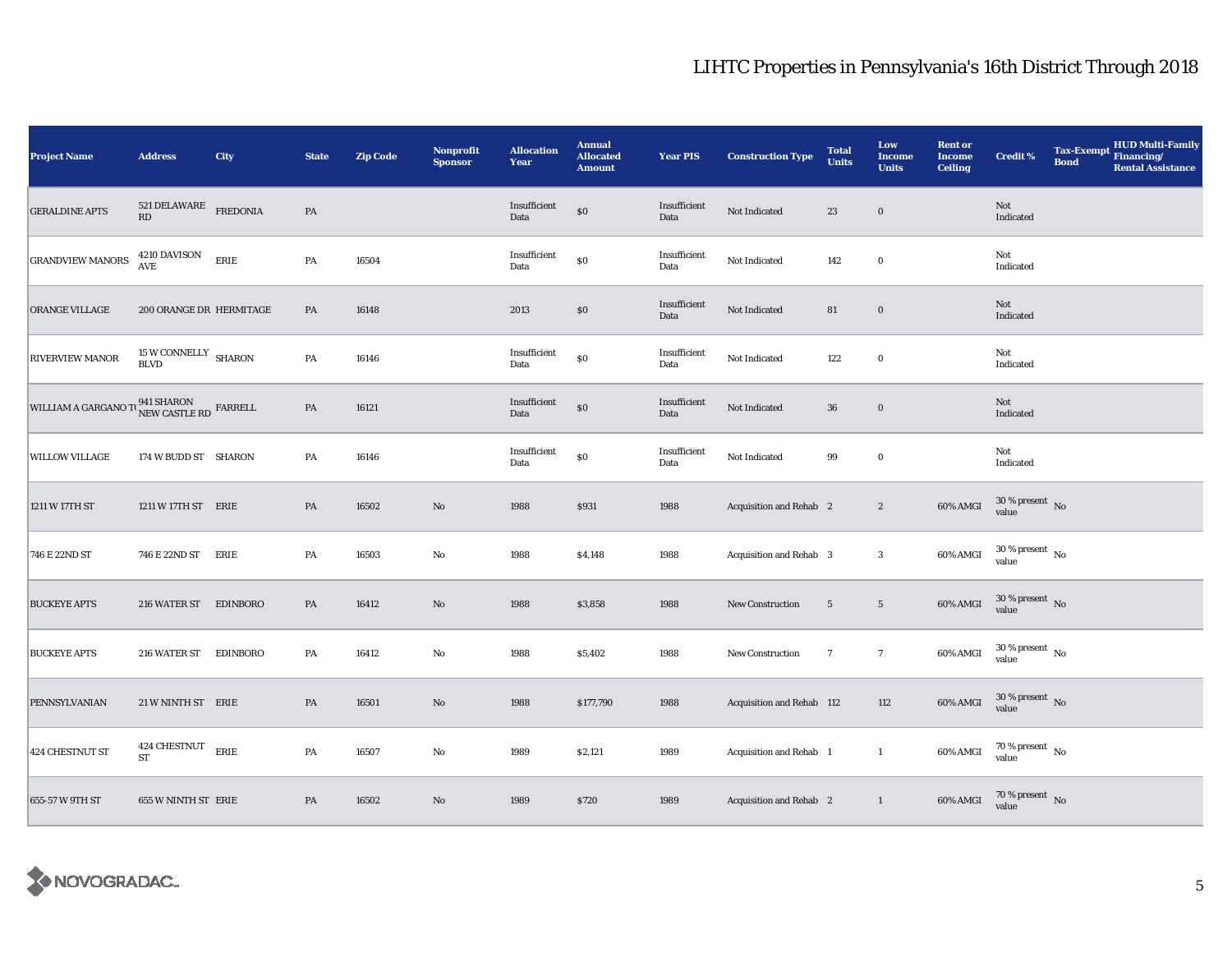| <b>Project Name</b>     | <b>Address</b>                                              | City            | <b>State</b>  | <b>Zip Code</b> | <b>Nonprofit</b><br><b>Sponsor</b> | <b>Allocation</b><br>Year | <b>Annual</b><br><b>Allocated</b><br><b>Amount</b> | <b>Year PIS</b>      | <b>Construction Type</b>       | <b>Total</b><br><b>Units</b> | Low<br><b>Income</b><br><b>Units</b> | <b>Rent or</b><br><b>Income</b><br><b>Ceiling</b> | <b>Credit %</b>                        | <b>Tax-Exempt</b><br><b>Bond</b> | HUD Multi-Family<br>Financing/<br><b>Rental Assistance</b> |
|-------------------------|-------------------------------------------------------------|-----------------|---------------|-----------------|------------------------------------|---------------------------|----------------------------------------------------|----------------------|--------------------------------|------------------------------|--------------------------------------|---------------------------------------------------|----------------------------------------|----------------------------------|------------------------------------------------------------|
| <b>GERALDINE APTS</b>   | $521\,\mbox{DELAWARE}$ FREDONIA RD                          |                 | $\mathbf{PA}$ |                 |                                    | Insufficient<br>Data      | $\$0$                                              | Insufficient<br>Data | Not Indicated                  | 23                           | $\boldsymbol{0}$                     |                                                   | Not<br>Indicated                       |                                  |                                                            |
| <b>GRANDVIEW MANORS</b> | 4210 DAVISON<br>$\mathbf{A}\mathbf{V}\mathbf{E}$            | ERIE            | PA            | 16504           |                                    | Insufficient<br>Data      | $\$0$                                              | Insufficient<br>Data | Not Indicated                  | 142                          | $\mathbf 0$                          |                                                   | Not<br>Indicated                       |                                  |                                                            |
| ORANGE VILLAGE          | 200 ORANGE DR HERMITAGE                                     |                 | PA            | 16148           |                                    | 2013                      | \$0                                                | Insufficient<br>Data | Not Indicated                  | 81                           | $\boldsymbol{0}$                     |                                                   | Not<br>Indicated                       |                                  |                                                            |
| <b>RIVERVIEW MANOR</b>  | $15\,\rm{W}$ CONNELLY $\,$ SHARON BLVD                      |                 | PA            | 16146           |                                    | Insufficient<br>Data      | $\$0$                                              | Insufficient<br>Data | Not Indicated                  | 122                          | $\bf{0}$                             |                                                   | Not<br>Indicated                       |                                  |                                                            |
| WILLIAM A GARGANO TO    | $\binom{941\; \text{SHARON}}{\text{NEW CASTLE RD}}$ FARRELL |                 | $\mathbf{PA}$ | 16121           |                                    | Insufficient<br>Data      | $\$0$                                              | Insufficient<br>Data | Not Indicated                  | ${\bf 36}$                   | $\bf{0}$                             |                                                   | Not<br>Indicated                       |                                  |                                                            |
| <b>WILLOW VILLAGE</b>   | 174 W BUDD ST SHARON                                        |                 | PA            | 16146           |                                    | Insufficient<br>Data      | $\$0$                                              | Insufficient<br>Data | Not Indicated                  | 99                           | $\mathbf 0$                          |                                                   | Not<br>Indicated                       |                                  |                                                            |
| 1211 W 17TH ST          | 1211 W 17TH ST ERIE                                         |                 | PA            | 16502           | $\rm No$                           | 1988                      | \$931                                              | 1988                 | <b>Acquisition and Rehab</b> 2 |                              | $\boldsymbol{2}$                     | 60% AMGI                                          | $30\,\%$ present $\,$ No value         |                                  |                                                            |
| 746 E 22ND ST           | 746 E 22ND ST                                               | ERIE            | PA            | 16503           | $\rm No$                           | 1988                      | \$4,148                                            | 1988                 | Acquisition and Rehab 3        |                              | $\boldsymbol{3}$                     | 60% AMGI                                          | $30\,\%$ present $\,$ No $\,$<br>value |                                  |                                                            |
| <b>BUCKEYE APTS</b>     | 216 WATER ST EDINBORO                                       |                 | PA            | 16412           | $\rm No$                           | 1988                      | \$3,858                                            | 1988                 | New Construction               | $5\phantom{.0}$              | $5\phantom{.0}$                      | 60% AMGI                                          | $30\,\%$ present $\,$ No value         |                                  |                                                            |
| <b>BUCKEYE APTS</b>     | 216 WATER ST                                                | <b>EDINBORO</b> | PA            | 16412           | No                                 | 1988                      | \$5,402                                            | 1988                 | New Construction               | $7\phantom{.0}$              | $7\phantom{.0}$                      | 60% AMGI                                          | $30\,\%$ present $\,$ No value         |                                  |                                                            |
| PENNSYLVANIAN           | 21 W NINTH ST ERIE                                          |                 | PA            | 16501           | $\rm No$                           | 1988                      | \$177,790                                          | 1988                 | Acquisition and Rehab 112      |                              | 112                                  | 60% AMGI                                          | $30\,\%$ present $\,$ No value         |                                  |                                                            |
| 424 CHESTNUT ST         | 424 CHESTNUT ERIE<br>${\rm ST}$                             |                 | PA            | 16507           | No                                 | 1989                      | \$2,121                                            | 1989                 | Acquisition and Rehab 1        |                              | $\mathbf{1}$                         | 60% AMGI                                          | $70\,\%$ present $\,$ No value         |                                  |                                                            |
| 655-57 W 9TH ST         | 655 W NINTH ST ERIE                                         |                 | PA            | 16502           | No                                 | 1989                      | \$720                                              | 1989                 | Acquisition and Rehab 2        |                              | $\mathbf{1}$                         | 60% AMGI                                          | $70\,\%$ present $\;$ No value         |                                  |                                                            |